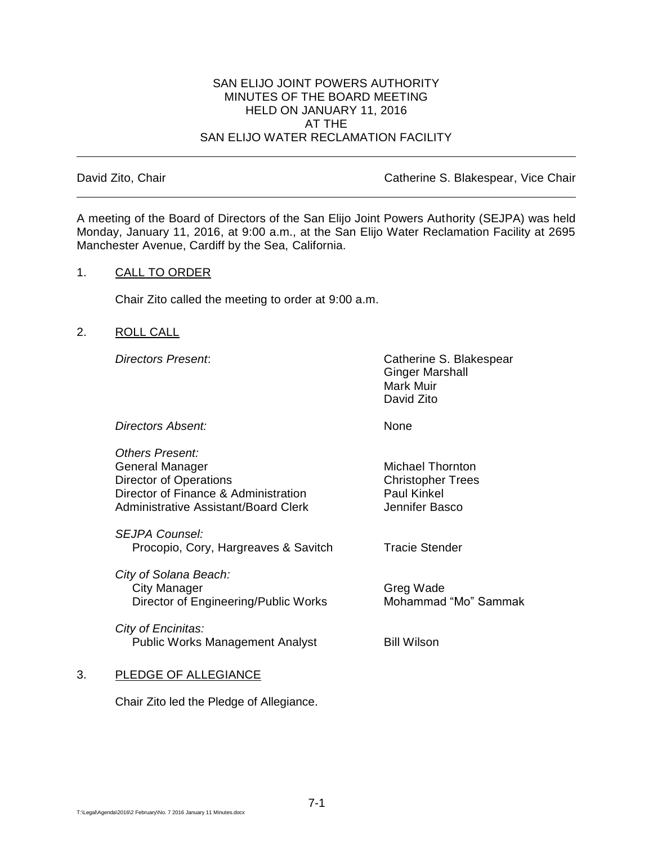#### SAN ELIJO JOINT POWERS AUTHORITY MINUTES OF THE BOARD MEETING HELD ON JANUARY 11, 2016 AT THE SAN ELIJO WATER RECLAMATION FACILITY

David Zito, Chair **Catherine S. Blakespear, Vice Chair** Catherine S. Blakespear, Vice Chair

A meeting of the Board of Directors of the San Elijo Joint Powers Authority (SEJPA) was held Monday, January 11, 2016, at 9:00 a.m., at the San Elijo Water Reclamation Facility at 2695 Manchester Avenue, Cardiff by the Sea, California.

## 1. CALL TO ORDER

Chair Zito called the meeting to order at 9:00 a.m.

2. ROLL CALL

*Directors Present*: Catherine S. Blakespear Ginger Marshall Mark Muir David Zito

*Directors Absent:* None

*Others Present:* General Manager Michael Thornton Director of Operations Christopher Trees Director of Finance & Administration Paul Kinkel Administrative Assistant/Board Clerk The Multiple of Hennifer Basco

*SEJPA Counsel:* Procopio, Cory, Hargreaves & Savitch Tracie Stender

*City of Solana Beach:* City Manager Greg Wade Director of Engineering/Public Works Mohammad "Mo" Sammak

*City of Encinitas:* Public Works Management Analyst Bill Wilson

# 3. PLEDGE OF ALLEGIANCE

Chair Zito led the Pledge of Allegiance.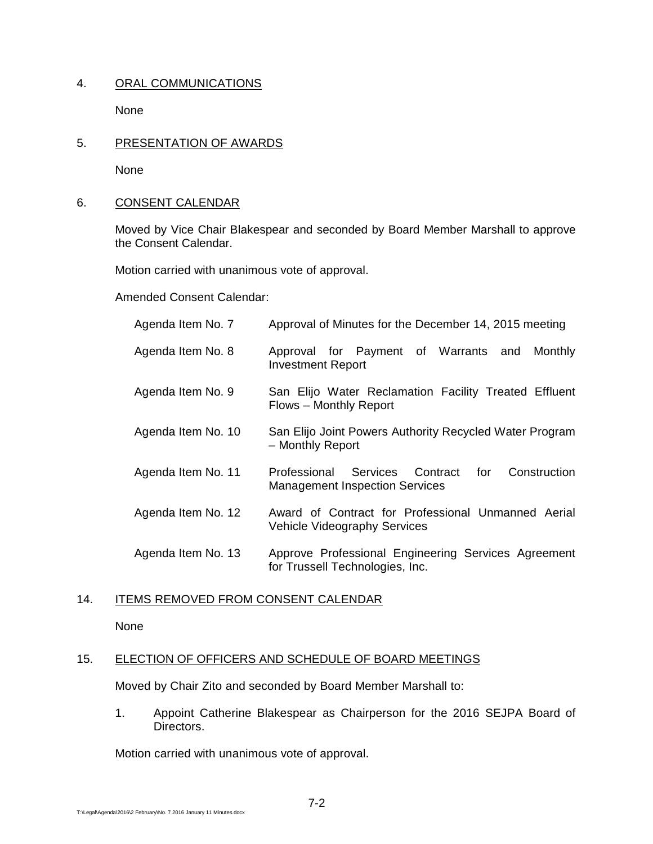## 4. ORAL COMMUNICATIONS

None

5. PRESENTATION OF AWARDS

None

## 6. CONSENT CALENDAR

Moved by Vice Chair Blakespear and seconded by Board Member Marshall to approve the Consent Calendar.

Motion carried with unanimous vote of approval.

Amended Consent Calendar:

| Agenda Item No. 7  | Approval of Minutes for the December 14, 2015 meeting                                          |
|--------------------|------------------------------------------------------------------------------------------------|
| Agenda Item No. 8  | Approval for Payment of Warrants<br>and<br>Monthly<br><b>Investment Report</b>                 |
| Agenda Item No. 9  | San Elijo Water Reclamation Facility Treated Effluent<br>Flows - Monthly Report                |
| Agenda Item No. 10 | San Elijo Joint Powers Authority Recycled Water Program<br>- Monthly Report                    |
| Agenda Item No. 11 | Professional Services Contract<br>Construction<br>for<br><b>Management Inspection Services</b> |
| Agenda Item No. 12 | Award of Contract for Professional Unmanned Aerial<br><b>Vehicle Videography Services</b>      |
| Agenda Item No. 13 | Approve Professional Engineering Services Agreement<br>for Trussell Technologies, Inc.         |

## 14. ITEMS REMOVED FROM CONSENT CALENDAR

None

## 15. ELECTION OF OFFICERS AND SCHEDULE OF BOARD MEETINGS

Moved by Chair Zito and seconded by Board Member Marshall to:

1. Appoint Catherine Blakespear as Chairperson for the 2016 SEJPA Board of Directors.

Motion carried with unanimous vote of approval.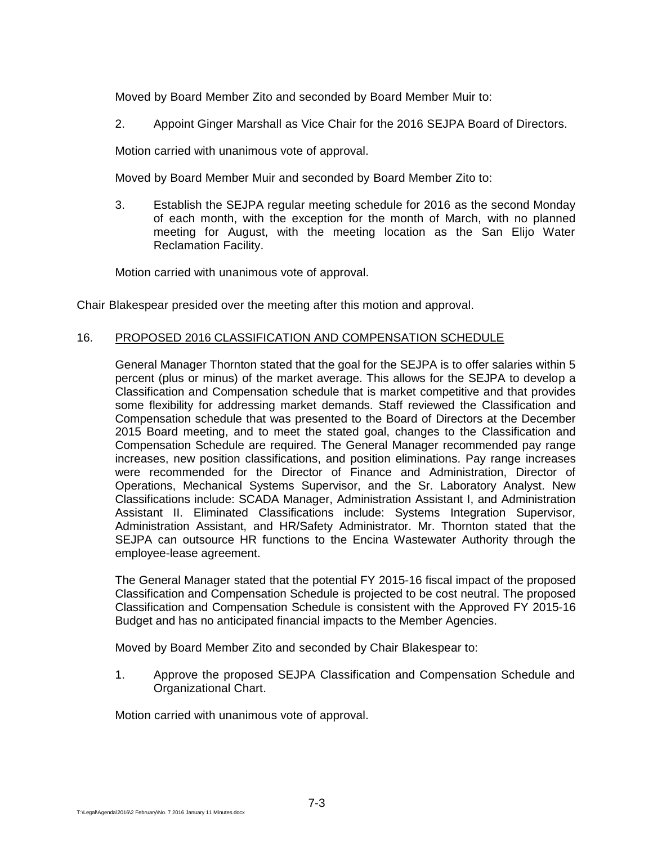Moved by Board Member Zito and seconded by Board Member Muir to:

2. Appoint Ginger Marshall as Vice Chair for the 2016 SEJPA Board of Directors.

Motion carried with unanimous vote of approval.

Moved by Board Member Muir and seconded by Board Member Zito to:

3. Establish the SEJPA regular meeting schedule for 2016 as the second Monday of each month, with the exception for the month of March, with no planned meeting for August, with the meeting location as the San Elijo Water Reclamation Facility.

Motion carried with unanimous vote of approval.

Chair Blakespear presided over the meeting after this motion and approval.

## 16. PROPOSED 2016 CLASSIFICATION AND COMPENSATION SCHEDULE

General Manager Thornton stated that the goal for the SEJPA is to offer salaries within 5 percent (plus or minus) of the market average. This allows for the SEJPA to develop a Classification and Compensation schedule that is market competitive and that provides some flexibility for addressing market demands. Staff reviewed the Classification and Compensation schedule that was presented to the Board of Directors at the December 2015 Board meeting, and to meet the stated goal, changes to the Classification and Compensation Schedule are required. The General Manager recommended pay range increases, new position classifications, and position eliminations. Pay range increases were recommended for the Director of Finance and Administration, Director of Operations, Mechanical Systems Supervisor, and the Sr. Laboratory Analyst. New Classifications include: SCADA Manager, Administration Assistant I, and Administration Assistant II. Eliminated Classifications include: Systems Integration Supervisor, Administration Assistant, and HR/Safety Administrator. Mr. Thornton stated that the SEJPA can outsource HR functions to the Encina Wastewater Authority through the employee-lease agreement.

The General Manager stated that the potential FY 2015-16 fiscal impact of the proposed Classification and Compensation Schedule is projected to be cost neutral. The proposed Classification and Compensation Schedule is consistent with the Approved FY 2015-16 Budget and has no anticipated financial impacts to the Member Agencies.

Moved by Board Member Zito and seconded by Chair Blakespear to:

1. Approve the proposed SEJPA Classification and Compensation Schedule and Organizational Chart.

Motion carried with unanimous vote of approval.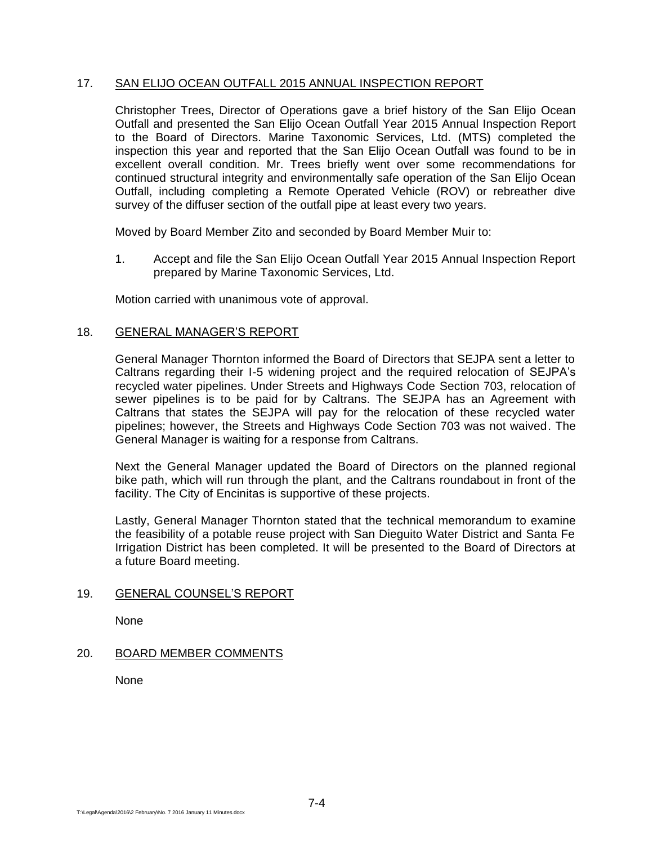## 17. SAN ELIJO OCEAN OUTFALL 2015 ANNUAL INSPECTION REPORT

Christopher Trees, Director of Operations gave a brief history of the San Elijo Ocean Outfall and presented the San Elijo Ocean Outfall Year 2015 Annual Inspection Report to the Board of Directors. Marine Taxonomic Services, Ltd. (MTS) completed the inspection this year and reported that the San Elijo Ocean Outfall was found to be in excellent overall condition. Mr. Trees briefly went over some recommendations for continued structural integrity and environmentally safe operation of the San Elijo Ocean Outfall, including completing a Remote Operated Vehicle (ROV) or rebreather dive survey of the diffuser section of the outfall pipe at least every two years.

Moved by Board Member Zito and seconded by Board Member Muir to:

1. Accept and file the San Elijo Ocean Outfall Year 2015 Annual Inspection Report prepared by Marine Taxonomic Services, Ltd.

Motion carried with unanimous vote of approval.

## 18. GENERAL MANAGER'S REPORT

General Manager Thornton informed the Board of Directors that SEJPA sent a letter to Caltrans regarding their I-5 widening project and the required relocation of SEJPA's recycled water pipelines. Under Streets and Highways Code Section 703, relocation of sewer pipelines is to be paid for by Caltrans. The SEJPA has an Agreement with Caltrans that states the SEJPA will pay for the relocation of these recycled water pipelines; however, the Streets and Highways Code Section 703 was not waived. The General Manager is waiting for a response from Caltrans.

Next the General Manager updated the Board of Directors on the planned regional bike path, which will run through the plant, and the Caltrans roundabout in front of the facility. The City of Encinitas is supportive of these projects.

Lastly, General Manager Thornton stated that the technical memorandum to examine the feasibility of a potable reuse project with San Dieguito Water District and Santa Fe Irrigation District has been completed. It will be presented to the Board of Directors at a future Board meeting.

#### 19. GENERAL COUNSEL'S REPORT

None

## 20. BOARD MEMBER COMMENTS

None